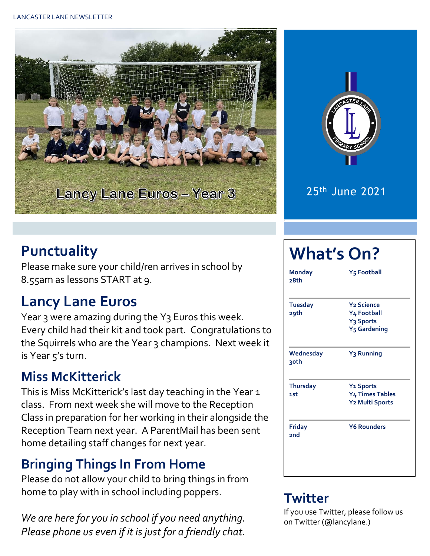



25th June 2021

## **Punctuality**

Please make sure your child/ren arrives in school by 8.55am as lessons START at 9.

## **Lancy Lane Euros**

Year 3 were amazing during the Y3 Euros this week. Every child had their kit and took part. Congratulations to the Squirrels who are the Year 3 champions. Next week it is Year 5's turn.

### **Miss McKitterick**

This is Miss McKitterick's last day teaching in the Year 1 class. From next week she will move to the Reception Class in preparation for her working in their alongside the Reception Team next year. A ParentMail has been sent home detailing staff changes for next year.

## **Bringing Things In From Home**

Please do not allow your child to bring things in from home to play with in school including poppers.

*We are here for you in school if you need anything. Please phone us even if it is just for a friendly chat.* 

# **What's On?**

| <b>Monday</b><br>28th  | <b>Y<sub>5</sub> Football</b>                                                                    |  |  |  |  |
|------------------------|--------------------------------------------------------------------------------------------------|--|--|--|--|
| <b>Tuesday</b><br>29th | <b>Y<sub>2</sub></b> Science<br>Y4 Football<br>Y <sub>3</sub> Sports<br>Y <sub>5</sub> Gardening |  |  |  |  |
| Wednesday<br>३०th      | Y <sub>3</sub> Running                                                                           |  |  |  |  |
| <b>Thursday</b><br>1st | <b>Y<sub>1</sub></b> Sports<br><b>Y4 Times Tables</b><br>Y2 Multi Sports                         |  |  |  |  |
| Friday<br>2nd          | <b>Y6 Rounders</b>                                                                               |  |  |  |  |

#### **Twitter**

If you use Twitter, please follow us on Twitter (@lancylane.)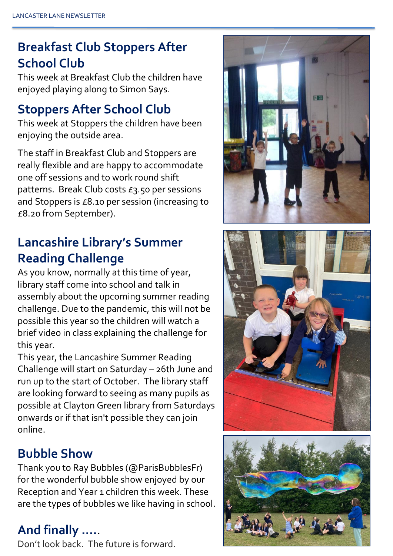## **Breakfast Club Stoppers After School Club**

This week at Breakfast Club the children have enjoyed playing along to Simon Says.

#### **Stoppers After School Club**

This week at Stoppers the children have been enjoying the outside area.

The staff in Breakfast Club and Stoppers are really flexible and are happy to accommodate one off sessions and to work round shift patterns. Break Club costs £3.50 per sessions and Stoppers is £8.10 per session (increasing to £8.20 from September).

### **Lancashire Library's Summer Reading Challenge**

As you know, normally at this time of year, library staff come into school and talk in assembly about the upcoming summer reading challenge. Due to the pandemic, this will not be possible this year so the children will watch a brief video in class explaining the challenge for this year.

This year, the Lancashire Summer Reading Challenge will start on Saturday – 26th June and run up to the start of October. The library staff are looking forward to seeing as many pupils as possible at Clayton Green library from Saturdays onwards or if that isn't possible they can join online.

#### **Bubble Show**

Thank you to Ray Bubbles (@ParisBubblesFr) for the wonderful bubble show enjoyed by our Reception and Year 1 children this week. These are the types of bubbles we like having in school.

#### **And finally ….**.

Don't look back. The future is forward.